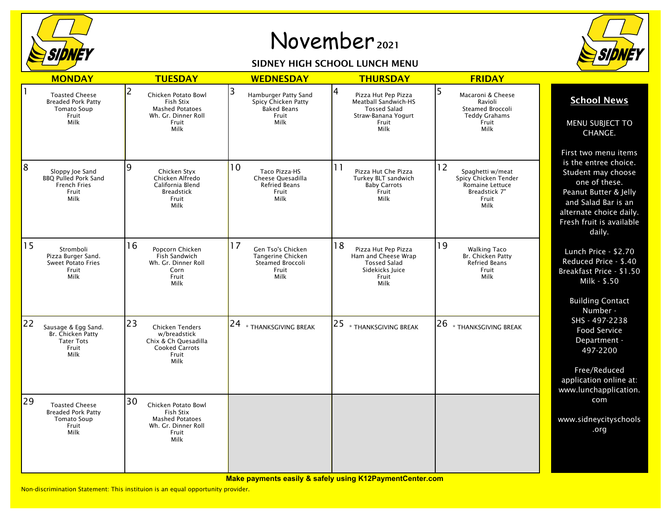

## November <sup>2021</sup>

## SIDNEY HIGH SCHOOL LUNCH MENU



|    |                                                                                           |                                                                                                                |                                                                                         |                                                                                                                 | <b>FRIDAY</b>                                                                                       |                                                                                                                                                                                                       |
|----|-------------------------------------------------------------------------------------------|----------------------------------------------------------------------------------------------------------------|-----------------------------------------------------------------------------------------|-----------------------------------------------------------------------------------------------------------------|-----------------------------------------------------------------------------------------------------|-------------------------------------------------------------------------------------------------------------------------------------------------------------------------------------------------------|
|    | <b>MONDAY</b>                                                                             | <b>TUESDAY</b>                                                                                                 | <b>WEDNESDAY</b>                                                                        | <b>THURSDAY</b>                                                                                                 |                                                                                                     |                                                                                                                                                                                                       |
|    | <b>Toasted Cheese</b><br><b>Breaded Pork Patty</b><br><b>Tomato Soup</b><br>Fruit<br>Milk | 2<br>Chicken Potato Bowl<br>Fish Stix<br><b>Mashed Potatoes</b><br>Wh. Gr. Dinner Roll<br>Fruit<br>Milk        | 3<br>Hamburger Patty Sand<br>Spicy Chicken Patty<br><b>Baked Beans</b><br>Fruit<br>Milk | 4<br>Pizza Hut Pep Pizza<br>Meatball Sandwich-HS<br><b>Tossed Salad</b><br>Straw-Banana Yogurt<br>Fruit<br>Milk | 5<br>Macaroni & Cheese<br>Ravioli<br>Steamed Broccoli<br><b>Teddy Grahams</b><br>Fruit<br>Milk      | <b>School News</b><br>MENU SUBJECT TO<br>CHANGE.                                                                                                                                                      |
| 8  | Sloppy Joe Sand<br><b>BBQ Pulled Pork Sand</b><br><b>French Fries</b><br>Fruit<br>Milk    | ۱q<br>Chicken Styx<br>Chicken Alfredo<br>California Blend<br><b>Breadstick</b><br>Fruit<br>Milk                | 10<br>Taco Pizza-HS<br>Cheese Quesadilla<br><b>Refried Beans</b><br>Fruit<br>Milk       | 11<br>Pizza Hut Che Pizza<br>Turkey BLT sandwich<br><b>Baby Carrots</b><br>Fruit<br>Milk                        | 12<br>Spaghetti w/meat<br>Spicy Chicken Tender<br>Romaine Lettuce<br>Breadstick 7"<br>Fruit<br>Milk | First two menu items<br>is the entree choice.<br>Student may choose<br>one of these.<br>Peanut Butter & Jelly<br>and Salad Bar is an<br>alternate choice daily.<br>Fresh fruit is available<br>daily. |
| 15 | Stromboli<br>Pizza Burger Sand.<br><b>Sweet Potato Fries</b><br>Fruit<br>Milk             | 16<br>Popcorn Chicken<br>Fish Sandwich<br>Wh. Gr. Dinner Roll<br>Corn<br>Fruit<br>Milk                         | 17<br>Gen Tso's Chicken<br>Tangerine Chicken<br>Steamed Broccoli<br>Fruit<br>Milk       | 18<br>Pizza Hut Pep Pizza<br>Ham and Cheese Wrap<br><b>Tossed Salad</b><br>Sidekicks Juice<br>Fruit<br>Milk     | 19<br><b>Walking Taco</b><br>Br. Chicken Patty<br><b>Refried Beans</b><br>Fruit<br>Milk             | Lunch Price - \$2.70<br>Reduced Price - \$.40<br>Breakfast Price - \$1.50<br>Milk - \$.50<br><b>Building Contact</b><br>Number -                                                                      |
| 22 | Sausage & Egg Sand.<br>Br. Chicken Patty<br><b>Tater Tots</b><br>Fruit<br>Milk            | 23<br><b>Chicken Tenders</b><br>w/breadstick<br>Chix & Ch Quesadilla<br><b>Cooked Carrots</b><br>Fruit<br>Milk | $ 24 _{\ast}$ thanksgiving break                                                        | 25<br>* THANKSGIVING BREAK                                                                                      | 26<br>* THANKSGIVING BREAK                                                                          | SHS - 497-2238<br><b>Food Service</b><br>Department -<br>497-2200<br>Free/Reduced<br>application online at:<br>www.lunchapplication.                                                                  |
| 29 | <b>Toasted Cheese</b><br><b>Breaded Pork Patty</b><br><b>Tomato Soup</b><br>Fruit<br>Milk | 30<br>Chicken Potato Bowl<br>Fish Stix<br><b>Mashed Potatoes</b><br>Wh. Gr. Dinner Roll<br>Fruit<br>Milk       |                                                                                         |                                                                                                                 |                                                                                                     | com<br>www.sidneycityschools<br>.org                                                                                                                                                                  |

**Make payments easily & safely using K12PaymentCenter.com**

Non-discrimination Statement: This instituion is an equal opportunity provider.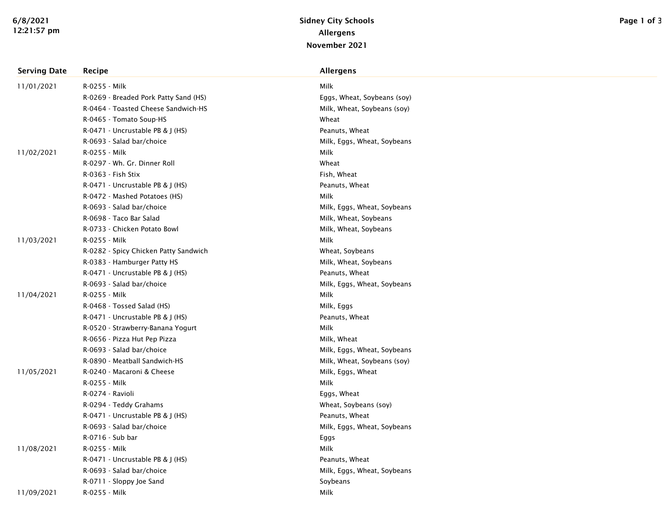| <b>Serving Date</b> | Recipe                                | Allergens                   |
|---------------------|---------------------------------------|-----------------------------|
| 11/01/2021          | R-0255 - Milk                         | Milk                        |
|                     | R-0269 - Breaded Pork Patty Sand (HS) | Eggs, Wheat, Soybeans (soy) |
|                     | R-0464 - Toasted Cheese Sandwich-HS   | Milk, Wheat, Soybeans (soy) |
|                     | R-0465 - Tomato Soup-HS               | Wheat                       |
|                     | R-0471 - Uncrustable PB & J (HS)      | Peanuts, Wheat              |
|                     | R-0693 - Salad bar/choice             | Milk, Eggs, Wheat, Soybeans |
| 11/02/2021          | R-0255 - Milk                         | Milk                        |
|                     | R-0297 - Wh. Gr. Dinner Roll          | Wheat                       |
|                     | R-0363 - Fish Stix                    | Fish, Wheat                 |
|                     | R-0471 - Uncrustable PB & J (HS)      | Peanuts, Wheat              |
|                     | R-0472 - Mashed Potatoes (HS)         | Milk                        |
|                     | R-0693 - Salad bar/choice             | Milk, Eggs, Wheat, Soybeans |
|                     | R-0698 - Taco Bar Salad               | Milk, Wheat, Soybeans       |
|                     | R-0733 - Chicken Potato Bowl          | Milk, Wheat, Soybeans       |
| 11/03/2021          | R-0255 - Milk                         | Milk                        |
|                     | R-0282 - Spicy Chicken Patty Sandwich | Wheat, Soybeans             |
|                     | R-0383 - Hamburger Patty HS           | Milk, Wheat, Soybeans       |
|                     | R-0471 - Uncrustable PB & J (HS)      | Peanuts, Wheat              |
|                     | R-0693 - Salad bar/choice             | Milk, Eggs, Wheat, Soybeans |
| 11/04/2021          | R-0255 - Milk                         | Milk                        |
|                     | R-0468 - Tossed Salad (HS)            | Milk, Eggs                  |
|                     | R-0471 - Uncrustable PB & J (HS)      | Peanuts, Wheat              |
|                     | R-0520 - Strawberry-Banana Yogurt     | Milk                        |
|                     | R-0656 - Pizza Hut Pep Pizza          | Milk, Wheat                 |
|                     | R-0693 - Salad bar/choice             | Milk, Eggs, Wheat, Soybeans |
|                     | R-0890 - Meatball Sandwich-HS         | Milk, Wheat, Soybeans (soy) |
| 11/05/2021          | R-0240 - Macaroni & Cheese            | Milk, Eggs, Wheat           |
|                     | R-0255 - Milk                         | Milk                        |
|                     | R-0274 - Ravioli                      | Eggs, Wheat                 |
|                     | R-0294 - Teddy Grahams                | Wheat, Soybeans (soy)       |
|                     | R-0471 - Uncrustable PB & J (HS)      | Peanuts, Wheat              |
|                     | R-0693 - Salad bar/choice             | Milk, Eggs, Wheat, Soybeans |
|                     | R-0716 - Sub bar                      | Eggs                        |
| 11/08/2021          | R-0255 - Milk                         | Milk                        |
|                     | R-0471 - Uncrustable PB & J (HS)      | Peanuts, Wheat              |
|                     | R-0693 - Salad bar/choice             | Milk, Eggs, Wheat, Soybeans |
|                     | R-0711 - Sloppy Joe Sand              | Soybeans                    |
| 11/09/2021          | R-0255 - Milk                         | Milk                        |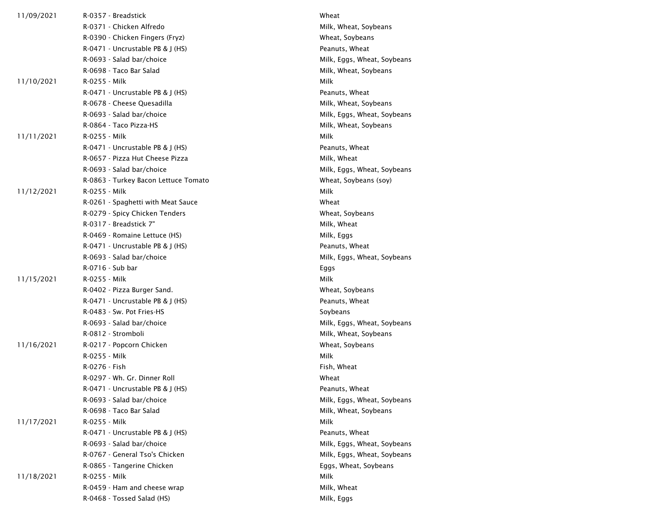| 11/09/2021 | R-0357 - Breadstick                  | Wheat                       |  |
|------------|--------------------------------------|-----------------------------|--|
|            | R-0371 - Chicken Alfredo             | Milk, Wheat, Soybeans       |  |
|            | R-0390 - Chicken Fingers (Fryz)      | Wheat, Soybeans             |  |
|            | $R-0471$ - Uncrustable PB & J (HS)   | Peanuts, Wheat              |  |
|            | R-0693 - Salad bar/choice            | Milk, Eggs, Wheat, Soybeans |  |
|            | R-0698 - Taco Bar Salad              | Milk, Wheat, Soybeans       |  |
| 11/10/2021 | R-0255 - Milk                        | Milk                        |  |
|            | $R-0471$ - Uncrustable PB & J (HS)   | Peanuts, Wheat              |  |
|            | R-0678 - Cheese Quesadilla           | Milk, Wheat, Soybeans       |  |
|            | R-0693 - Salad bar/choice            | Milk, Eggs, Wheat, Soybeans |  |
|            | R-0864 - Taco Pizza-HS               | Milk, Wheat, Soybeans       |  |
| 11/11/2021 | R-0255 - Milk                        | Milk                        |  |
|            | R-0471 - Uncrustable PB & J (HS)     | Peanuts, Wheat              |  |
|            | R-0657 - Pizza Hut Cheese Pizza      | Milk, Wheat                 |  |
|            | R-0693 - Salad bar/choice            | Milk, Eggs, Wheat, Soybeans |  |
|            | R-0863 - Turkey Bacon Lettuce Tomato | Wheat, Soybeans (soy)       |  |
| 11/12/2021 | R-0255 - Milk                        | Milk                        |  |
|            | R-0261 - Spaghetti with Meat Sauce   | Wheat                       |  |
|            | R-0279 - Spicy Chicken Tenders       | Wheat, Soybeans             |  |
|            | R-0317 - Breadstick 7"               | Milk, Wheat                 |  |
|            | R-0469 - Romaine Lettuce (HS)        | Milk, Eggs                  |  |
|            | R-0471 - Uncrustable PB & J (HS)     | Peanuts, Wheat              |  |
|            | R-0693 - Salad bar/choice            | Milk, Eggs, Wheat, Soybeans |  |
|            | R-0716 - Sub bar                     | Eggs                        |  |
| 11/15/2021 | R-0255 - Milk                        | Milk                        |  |
|            | R-0402 - Pizza Burger Sand.          | Wheat, Soybeans             |  |
|            | R-0471 - Uncrustable PB & J (HS)     | Peanuts, Wheat              |  |
|            | R-0483 - Sw. Pot Fries-HS            | Soybeans                    |  |
|            | R-0693 - Salad bar/choice            | Milk, Eggs, Wheat, Soybeans |  |
|            | R-0812 - Stromboli                   | Milk, Wheat, Soybeans       |  |
| 11/16/2021 | R-0217 - Popcorn Chicken             | Wheat, Soybeans             |  |
|            | R-0255 - Milk                        | Milk                        |  |
|            | R-0276 - Fish                        | Fish, Wheat                 |  |
|            | R-0297 - Wh. Gr. Dinner Roll         | Wheat                       |  |
|            | R-0471 - Uncrustable PB & J (HS)     | Peanuts, Wheat              |  |
|            | R-0693 - Salad bar/choice            | Milk, Eggs, Wheat, Soybeans |  |
|            | R-0698 - Taco Bar Salad              | Milk, Wheat, Soybeans       |  |
| 11/17/2021 | R-0255 - Milk                        | Milk                        |  |
|            | R-0471 - Uncrustable PB & J (HS)     | Peanuts, Wheat              |  |
|            | R-0693 - Salad bar/choice            | Milk, Eggs, Wheat, Soybeans |  |
|            | R-0767 - General Tso's Chicken       | Milk, Eggs, Wheat, Soybeans |  |
|            | R-0865 - Tangerine Chicken           | Eggs, Wheat, Soybeans       |  |
| 11/18/2021 | R-0255 - Milk                        | Milk                        |  |
|            | R-0459 - Ham and cheese wrap         | Milk, Wheat                 |  |
|            | R-0468 - Tossed Salad (HS)           | Milk, Eggs                  |  |